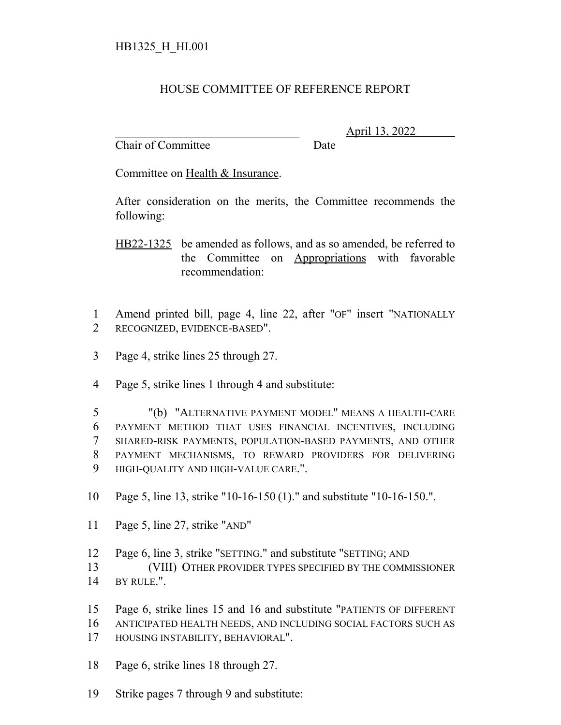## HOUSE COMMITTEE OF REFERENCE REPORT

Chair of Committee Date

\_\_\_\_\_\_\_\_\_\_\_\_\_\_\_\_\_\_\_\_\_\_\_\_\_\_\_\_\_\_\_ April 13, 2022

Committee on Health & Insurance.

After consideration on the merits, the Committee recommends the following:

HB22-1325 be amended as follows, and as so amended, be referred to the Committee on Appropriations with favorable recommendation:

 Amend printed bill, page 4, line 22, after "OF" insert "NATIONALLY RECOGNIZED, EVIDENCE-BASED".

- Page 4, strike lines 25 through 27.
- Page 5, strike lines 1 through 4 and substitute:

 "(b) "ALTERNATIVE PAYMENT MODEL" MEANS A HEALTH-CARE PAYMENT METHOD THAT USES FINANCIAL INCENTIVES, INCLUDING SHARED-RISK PAYMENTS, POPULATION-BASED PAYMENTS, AND OTHER PAYMENT MECHANISMS, TO REWARD PROVIDERS FOR DELIVERING HIGH-QUALITY AND HIGH-VALUE CARE.".

Page 5, line 13, strike "10-16-150 (1)." and substitute "10-16-150.".

Page 5, line 27, strike "AND"

Page 6, line 3, strike "SETTING." and substitute "SETTING; AND

 (VIII) OTHER PROVIDER TYPES SPECIFIED BY THE COMMISSIONER 14 BY RULE.".

- Page 6, strike lines 15 and 16 and substitute "PATIENTS OF DIFFERENT
- ANTICIPATED HEALTH NEEDS, AND INCLUDING SOCIAL FACTORS SUCH AS HOUSING INSTABILITY, BEHAVIORAL".
- Page 6, strike lines 18 through 27.
- Strike pages 7 through 9 and substitute: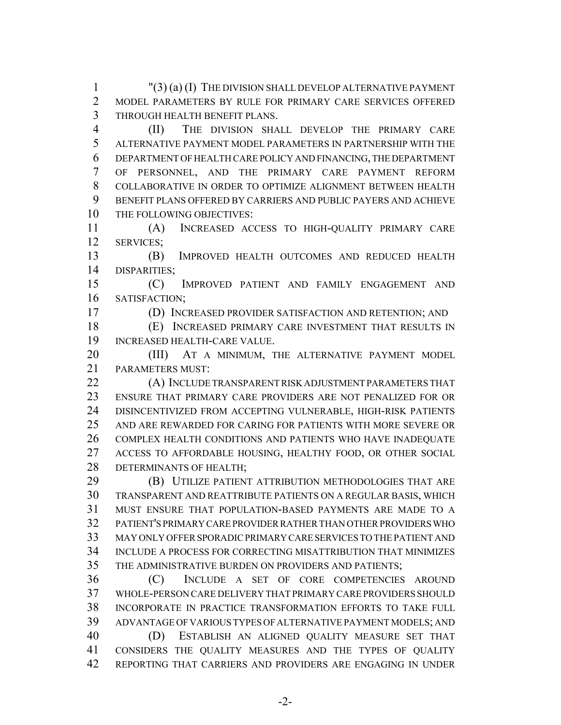"(3) (a) (I) THE DIVISION SHALL DEVELOP ALTERNATIVE PAYMENT MODEL PARAMETERS BY RULE FOR PRIMARY CARE SERVICES OFFERED THROUGH HEALTH BENEFIT PLANS.

 (II) THE DIVISION SHALL DEVELOP THE PRIMARY CARE ALTERNATIVE PAYMENT MODEL PARAMETERS IN PARTNERSHIP WITH THE DEPARTMENT OF HEALTH CARE POLICY AND FINANCING, THE DEPARTMENT OF PERSONNEL, AND THE PRIMARY CARE PAYMENT REFORM COLLABORATIVE IN ORDER TO OPTIMIZE ALIGNMENT BETWEEN HEALTH BENEFIT PLANS OFFERED BY CARRIERS AND PUBLIC PAYERS AND ACHIEVE THE FOLLOWING OBJECTIVES:

 (A) INCREASED ACCESS TO HIGH-QUALITY PRIMARY CARE SERVICES;

 (B) IMPROVED HEALTH OUTCOMES AND REDUCED HEALTH DISPARITIES;

 (C) IMPROVED PATIENT AND FAMILY ENGAGEMENT AND SATISFACTION;

(D) INCREASED PROVIDER SATISFACTION AND RETENTION; AND

 (E) INCREASED PRIMARY CARE INVESTMENT THAT RESULTS IN INCREASED HEALTH-CARE VALUE.

 (III) AT A MINIMUM, THE ALTERNATIVE PAYMENT MODEL PARAMETERS MUST:

 (A) INCLUDE TRANSPARENT RISK ADJUSTMENT PARAMETERS THAT ENSURE THAT PRIMARY CARE PROVIDERS ARE NOT PENALIZED FOR OR DISINCENTIVIZED FROM ACCEPTING VULNERABLE, HIGH-RISK PATIENTS AND ARE REWARDED FOR CARING FOR PATIENTS WITH MORE SEVERE OR COMPLEX HEALTH CONDITIONS AND PATIENTS WHO HAVE INADEQUATE ACCESS TO AFFORDABLE HOUSING, HEALTHY FOOD, OR OTHER SOCIAL DETERMINANTS OF HEALTH;

 (B) UTILIZE PATIENT ATTRIBUTION METHODOLOGIES THAT ARE TRANSPARENT AND REATTRIBUTE PATIENTS ON A REGULAR BASIS, WHICH MUST ENSURE THAT POPULATION-BASED PAYMENTS ARE MADE TO A PATIENT'S PRIMARY CARE PROVIDER RATHER THAN OTHER PROVIDERS WHO MAY ONLY OFFER SPORADIC PRIMARY CARE SERVICES TO THE PATIENT AND INCLUDE A PROCESS FOR CORRECTING MISATTRIBUTION THAT MINIMIZES THE ADMINISTRATIVE BURDEN ON PROVIDERS AND PATIENTS;

 (C) INCLUDE A SET OF CORE COMPETENCIES AROUND WHOLE-PERSON CARE DELIVERY THAT PRIMARY CARE PROVIDERS SHOULD INCORPORATE IN PRACTICE TRANSFORMATION EFFORTS TO TAKE FULL ADVANTAGE OF VARIOUS TYPES OF ALTERNATIVE PAYMENT MODELS; AND (D) ESTABLISH AN ALIGNED QUALITY MEASURE SET THAT CONSIDERS THE QUALITY MEASURES AND THE TYPES OF QUALITY REPORTING THAT CARRIERS AND PROVIDERS ARE ENGAGING IN UNDER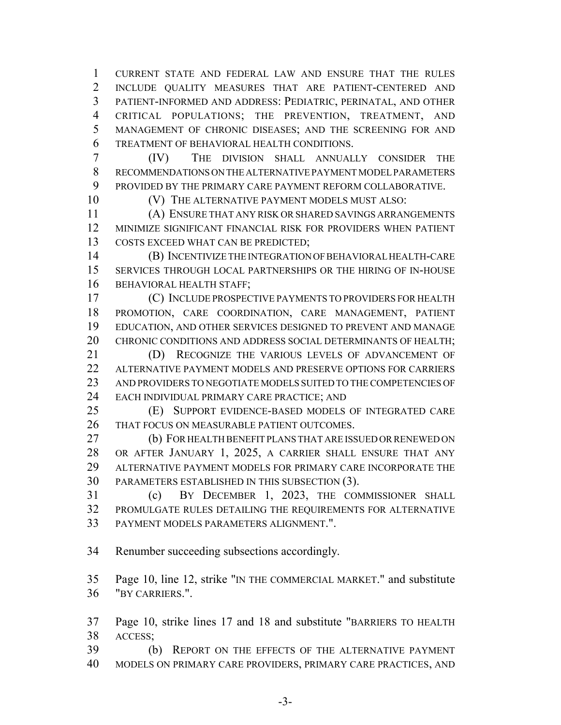CURRENT STATE AND FEDERAL LAW AND ENSURE THAT THE RULES INCLUDE QUALITY MEASURES THAT ARE PATIENT-CENTERED AND PATIENT-INFORMED AND ADDRESS: PEDIATRIC, PERINATAL, AND OTHER CRITICAL POPULATIONS; THE PREVENTION, TREATMENT, AND MANAGEMENT OF CHRONIC DISEASES; AND THE SCREENING FOR AND TREATMENT OF BEHAVIORAL HEALTH CONDITIONS.

 (IV) THE DIVISION SHALL ANNUALLY CONSIDER THE RECOMMENDATIONS ON THE ALTERNATIVE PAYMENT MODEL PARAMETERS PROVIDED BY THE PRIMARY CARE PAYMENT REFORM COLLABORATIVE.

(V) THE ALTERNATIVE PAYMENT MODELS MUST ALSO:

 (A) ENSURE THAT ANY RISK OR SHARED SAVINGS ARRANGEMENTS MINIMIZE SIGNIFICANT FINANCIAL RISK FOR PROVIDERS WHEN PATIENT COSTS EXCEED WHAT CAN BE PREDICTED;

 (B) INCENTIVIZE THE INTEGRATION OF BEHAVIORAL HEALTH-CARE SERVICES THROUGH LOCAL PARTNERSHIPS OR THE HIRING OF IN-HOUSE BEHAVIORAL HEALTH STAFF;

 (C) INCLUDE PROSPECTIVE PAYMENTS TO PROVIDERS FOR HEALTH PROMOTION, CARE COORDINATION, CARE MANAGEMENT, PATIENT EDUCATION, AND OTHER SERVICES DESIGNED TO PREVENT AND MANAGE 20 CHRONIC CONDITIONS AND ADDRESS SOCIAL DETERMINANTS OF HEALTH;

 (D) RECOGNIZE THE VARIOUS LEVELS OF ADVANCEMENT OF ALTERNATIVE PAYMENT MODELS AND PRESERVE OPTIONS FOR CARRIERS AND PROVIDERS TO NEGOTIATE MODELS SUITED TO THE COMPETENCIES OF EACH INDIVIDUAL PRIMARY CARE PRACTICE; AND

 (E) SUPPORT EVIDENCE-BASED MODELS OF INTEGRATED CARE THAT FOCUS ON MEASURABLE PATIENT OUTCOMES.

 (b) FOR HEALTH BENEFIT PLANS THAT ARE ISSUED OR RENEWED ON OR AFTER JANUARY 1, 2025, A CARRIER SHALL ENSURE THAT ANY ALTERNATIVE PAYMENT MODELS FOR PRIMARY CARE INCORPORATE THE PARAMETERS ESTABLISHED IN THIS SUBSECTION (3).

 (c) BY DECEMBER 1, 2023, THE COMMISSIONER SHALL PROMULGATE RULES DETAILING THE REQUIREMENTS FOR ALTERNATIVE PAYMENT MODELS PARAMETERS ALIGNMENT.".

Renumber succeeding subsections accordingly.

 Page 10, line 12, strike "IN THE COMMERCIAL MARKET." and substitute "BY CARRIERS.".

 Page 10, strike lines 17 and 18 and substitute "BARRIERS TO HEALTH ACCESS;

 (b) REPORT ON THE EFFECTS OF THE ALTERNATIVE PAYMENT MODELS ON PRIMARY CARE PROVIDERS, PRIMARY CARE PRACTICES, AND